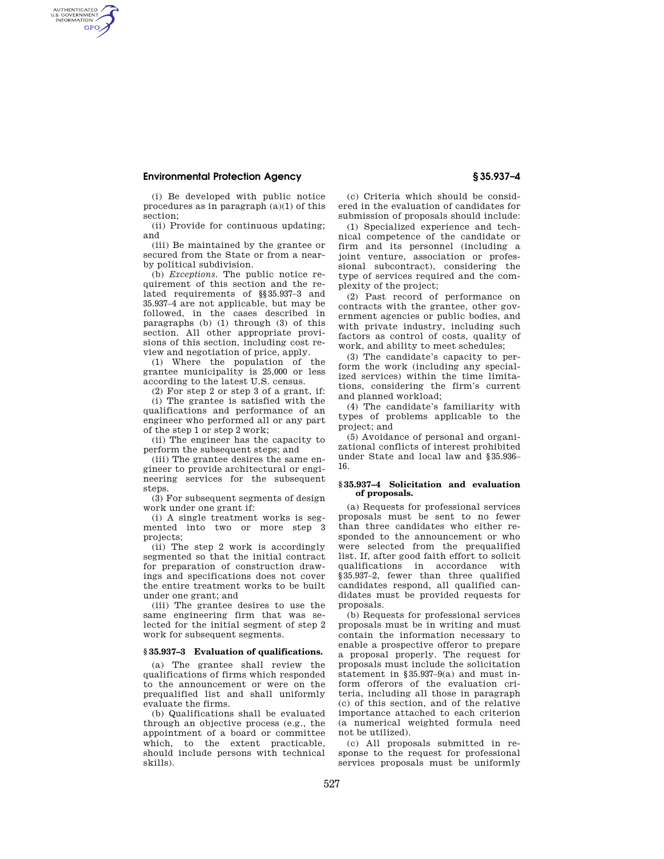## **Environmental Protection Agency § 35.937–4**

AUTHENTICATED<br>U.S. GOVERNMENT<br>INFORMATION **GPO** 

> (i) Be developed with public notice procedures as in paragraph (a)(1) of this section;

(ii) Provide for continuous updating; and

(iii) Be maintained by the grantee or secured from the State or from a nearby political subdivision.

(b) *Exceptions.* The public notice requirement of this section and the related requirements of §§35.937–3 and 35.937–4 are not applicable, but may be followed, in the cases described in paragraphs (b) (1) through (3) of this section. All other appropriate provisions of this section, including cost review and negotiation of price, apply.

(1) Where the population of the grantee municipality is 25,000 or less according to the latest U.S. census.

(2) For step 2 or step 3 of a grant, if:

(i) The grantee is satisfied with the qualifications and performance of an engineer who performed all or any part of the step 1 or step 2 work;

(ii) The engineer has the capacity to perform the subsequent steps; and

(iii) The grantee desires the same engineer to provide architectural or engineering services for the subsequent steps.

(3) For subsequent segments of design work under one grant if:

(i) A single treatment works is segmented into two or more step 3 projects;

(ii) The step 2 work is accordingly segmented so that the initial contract for preparation of construction drawings and specifications does not cover the entire treatment works to be built under one grant; and

(iii) The grantee desires to use the same engineering firm that was selected for the initial segment of step 2 work for subsequent segments.

#### **§ 35.937–3 Evaluation of qualifications.**

(a) The grantee shall review the qualifications of firms which responded to the announcement or were on the prequalified list and shall uniformly evaluate the firms.

(b) Qualifications shall be evaluated through an objective process (e.g., the appointment of a board or committee which, to the extent practicable, should include persons with technical skills).

(c) Criteria which should be considered in the evaluation of candidates for submission of proposals should include:

(1) Specialized experience and technical competence of the candidate or firm and its personnel (including a joint venture, association or professional subcontract), considering the type of services required and the complexity of the project;

(2) Past record of performance on contracts with the grantee, other government agencies or public bodies, and with private industry, including such factors as control of costs, quality of work, and ability to meet schedules;

(3) The candidate's capacity to perform the work (including any specialized services) within the time limitations, considering the firm's current and planned workload;

(4) The candidate's familiarity with types of problems applicable to the project; and

(5) Avoidance of personal and organizational conflicts of interest prohibited under State and local law and §35.936– 16.

## **§ 35.937–4 Solicitation and evaluation of proposals.**

(a) Requests for professional services proposals must be sent to no fewer than three candidates who either responded to the announcement or who were selected from the prequalified list. If, after good faith effort to solicit qualifications in accordance with §35.937–2, fewer than three qualified candidates respond, all qualified candidates must be provided requests for proposals.

(b) Requests for professional services proposals must be in writing and must contain the information necessary to enable a prospective offeror to prepare a proposal properly. The request for proposals must include the solicitation statement in §35.937–9(a) and must inform offerors of the evaluation criteria, including all those in paragraph (c) of this section, and of the relative importance attached to each criterion (a numerical weighted formula need not be utilized).

(c) All proposals submitted in response to the request for professional services proposals must be uniformly